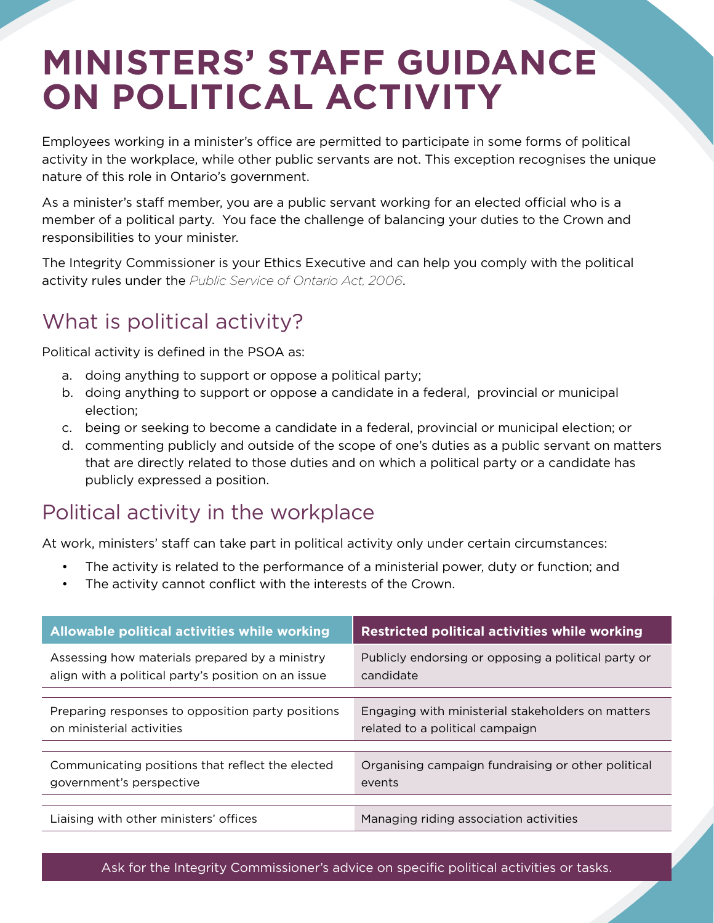# **MINISTERS' STAFF GUIDANCE ON POLITICAL ACTIVITY**

Employees working in a minister's office are permitted to participate in some forms of political activity in the workplace, while other public servants are not. This exception recognises the unique nature of this role in Ontario's government.

As a minister's staff member, you are a public servant working for an elected official who is a member of a political party. You face the challenge of balancing your duties to the Crown and responsibilities to your minister.

The Integrity Commissioner is your Ethics Executive and can help you comply with the political activity rules under the *Public Service of Ontario Act, 2006*.

## What is political activity?

Political activity is defined in the PSOA as:

- a. doing anything to support or oppose a political party;
- b. doing anything to support or oppose a candidate in a federal, provincial or municipal election;
- c. being or seeking to become a candidate in a federal, provincial or municipal election; or
- d. commenting publicly and outside of the scope of one's duties as a public servant on matters that are directly related to those duties and on which a political party or a candidate has publicly expressed a position.

### Political activity in the workplace

At work, ministers' staff can take part in political activity only under certain circumstances:

- The activity is related to the performance of a ministerial power, duty or function; and
- • The activity cannot conflict with the interests of the Crown.

| Allowable political activities while working                                                          | <b>Restricted political activities while working</b>                                 |
|-------------------------------------------------------------------------------------------------------|--------------------------------------------------------------------------------------|
| Assessing how materials prepared by a ministry<br>align with a political party's position on an issue | Publicly endorsing or opposing a political party or<br>candidate                     |
|                                                                                                       |                                                                                      |
| Preparing responses to opposition party positions<br>on ministerial activities                        | Engaging with ministerial stakeholders on matters<br>related to a political campaign |
|                                                                                                       |                                                                                      |
| Communicating positions that reflect the elected<br>government's perspective                          | Organising campaign fundraising or other political<br>events                         |
|                                                                                                       |                                                                                      |
| Liaising with other ministers' offices                                                                | Managing riding association activities                                               |

Ask for the Integrity Commissioner's advice on specific political activities or tasks.